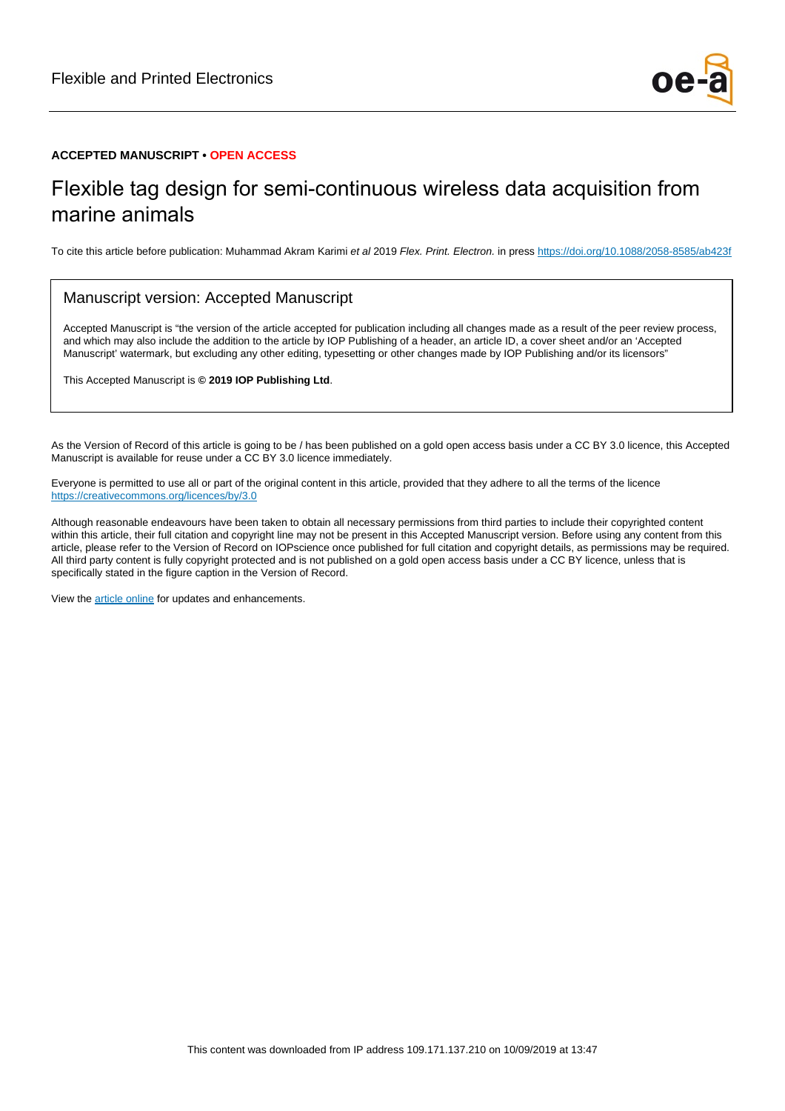

#### **ACCEPTED MANUSCRIPT • OPEN ACCESS**

# Flexible tag design for semi-continuous wireless data acquisition from marine animals

To cite this article before publication: Muhammad Akram Karimi et al 2019 Flex. Print. Electron. in press <https://doi.org/10.1088/2058-8585/ab423f>

#### Manuscript version: Accepted Manuscript

Accepted Manuscript is "the version of the article accepted for publication including all changes made as a result of the peer review process, and which may also include the addition to the article by IOP Publishing of a header, an article ID, a cover sheet and/or an 'Accepted Manuscript' watermark, but excluding any other editing, typesetting or other changes made by IOP Publishing and/or its licensors"

This Accepted Manuscript is **© 2019 IOP Publishing Ltd**.

As the Version of Record of this article is going to be / has been published on a gold open access basis under a CC BY 3.0 licence, this Accepted Manuscript is available for reuse under a CC BY 3.0 licence immediately.

Everyone is permitted to use all or part of the original content in this article, provided that they adhere to all the terms of the licence <https://creativecommons.org/licences/by/3.0>

Although reasonable endeavours have been taken to obtain all necessary permissions from third parties to include their copyrighted content within this article, their full citation and copyright line may not be present in this Accepted Manuscript version. Before using any content from this article, please refer to the Version of Record on IOPscience once published for full citation and copyright details, as permissions may be required. All third party content is fully copyright protected and is not published on a gold open access basis under a CC BY licence, unless that is specifically stated in the figure caption in the Version of Record.

View the [article online](https://doi.org/10.1088/2058-8585/ab423f) for updates and enhancements.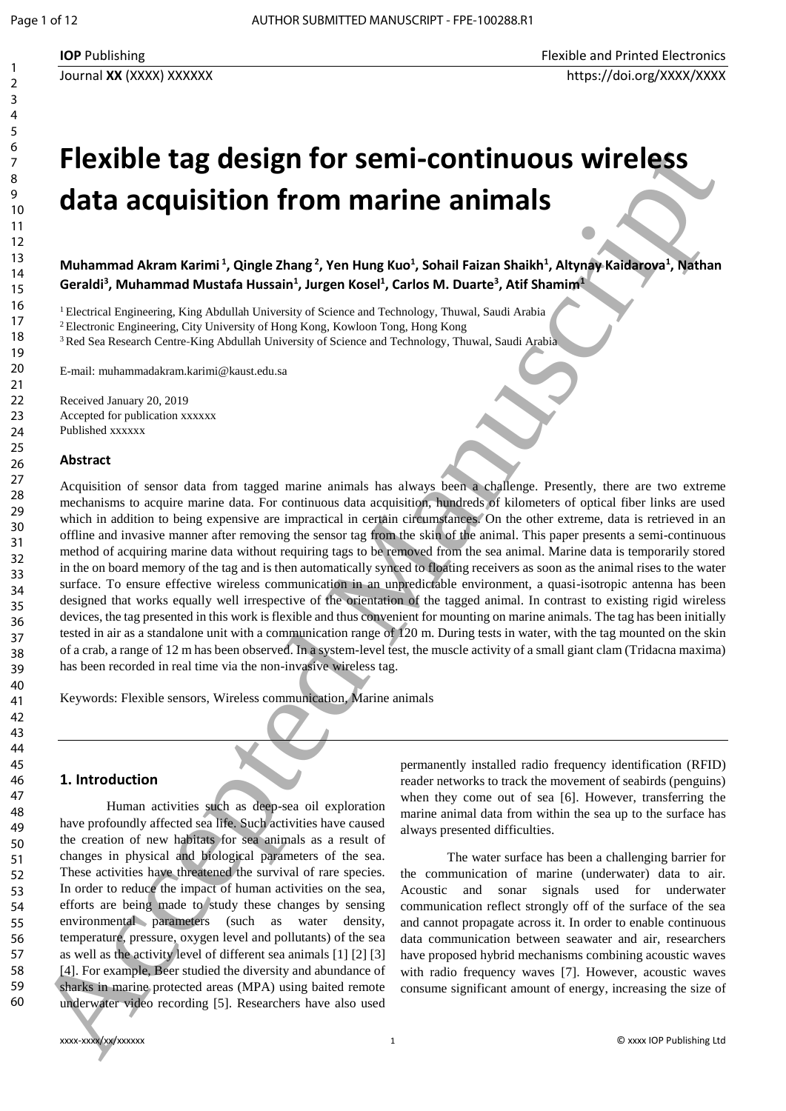# **Flexible tag design for semi-continuous wireless data acquisition from marine animals**

**Muhammad Akram Karimi <sup>1</sup> , Qingle Zhang <sup>2</sup> , Yen Hung Kuo<sup>1</sup> , Sohail Faizan Shaikh<sup>1</sup> , Altynay Kaidarova<sup>1</sup> , Nathan Geraldi<sup>3</sup> , Muhammad Mustafa Hussain<sup>1</sup> , Jurgen Kosel<sup>1</sup> , Carlos M. Duarte<sup>3</sup> , Atif Shamim<sup>1</sup>**

<sup>1</sup> Electrical Engineering, King Abdullah University of Science and Technology, Thuwal, Saudi Arabia

<sup>2</sup>Electronic Engineering, City University of Hong Kong, Kowloon Tong, Hong Kong

<sup>3</sup> Red Sea Research Centre-King Abdullah University of Science and Technology, Thuwal, Saudi Arabia

E-mail: muhammadakram.karimi@kaust.edu.sa

Received January 20, 2019 Accepted for publication xxxxxx Published xxxxxx

#### **Abstract**

Acquisition of sensor data from tagged marine animals has always been a challenge. Presently, there are two extreme mechanisms to acquire marine data. For continuous data acquisition, hundreds of kilometers of optical fiber links are used which in addition to being expensive are impractical in certain circumstances. On the other extreme, data is retrieved in an offline and invasive manner after removing the sensor tag from the skin of the animal. This paper presents a semi-continuous method of acquiring marine data without requiring tags to be removed from the sea animal. Marine data is temporarily stored in the on board memory of the tag and is then automatically synced to floating receivers as soon as the animal rises to the water surface. To ensure effective wireless communication in an unpredictable environment, a quasi-isotropic antenna has been designed that works equally well irrespective of the orientation of the tagged animal. In contrast to existing rigid wireless devices, the tag presented in this work is flexible and thus convenient for mounting on marine animals. The tag has been initially tested in air as a standalone unit with a communication range of 120 m. During tests in water, with the tag mounted on the skin of a crab, a range of 12 m has been observed. In a system-level test, the muscle activity of a small giant clam (Tridacna maxima) has been recorded in real time via the non-invasive wireless tag. Field that a contribution of the set of the set of the set of the set of the set of the set of the set of the set of the set of the set of the set of the set of the set of the set of the set of the set of the set of the s

Keywords: Flexible sensors, Wireless communication, Marine animals

#### **1. Introduction**

Human activities such as deep-sea oil exploration have profoundly affected sea life. Such activities have caused the creation of new habitats for sea animals as a result of changes in physical and biological parameters of the sea. These activities have threatened the survival of rare species. In order to reduce the impact of human activities on the sea, efforts are being made to study these changes by sensing environmental parameters (such as water density, temperature, pressure, oxygen level and pollutants) of the sea as well as the activity level of different sea animals [1] [2] [3] [4]. For example, Beer studied the diversity and abundance of sharks in marine protected areas (MPA) using baited remote underwater video recording [5]. Researchers have also used

permanently installed radio frequency identification (RFID) reader networks to track the movement of seabirds (penguins) when they come out of sea [6]. However, transferring the marine animal data from within the sea up to the surface has always presented difficulties.

The water surface has been a challenging barrier for the communication of marine (underwater) data to air. Acoustic and sonar signals used for underwater communication reflect strongly off of the surface of the sea and cannot propagate across it. In order to enable continuous data communication between seawater and air, researchers have proposed hybrid mechanisms combining acoustic waves with radio frequency waves [7]. However, acoustic waves consume significant amount of energy, increasing the size of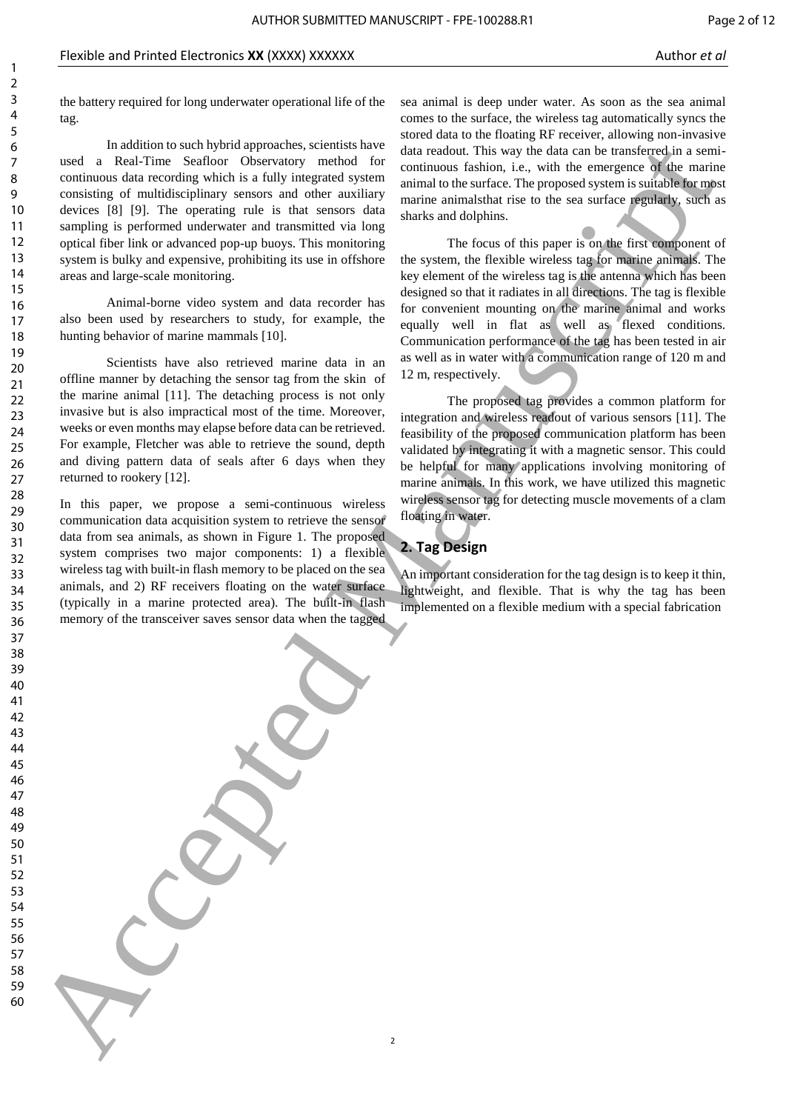the battery required for long underwater operational life of the tag.

In addition to such hybrid approaches, scientists have used a Real-Time Seafloor Observatory method for continuous data recording which is a fully integrated system consisting of multidisciplinary sensors and other auxiliary devices [8] [9]. The operating rule is that sensors data sampling is performed underwater and transmitted via long optical fiber link or advanced pop-up buoys. This monitoring system is bulky and expensive, prohibiting its use in offshore areas and large-scale monitoring. 6 **Accepted Manuscript Constrainers** (and the system of the system of the system of the system of the system of the system of the system of the system of the system of the system of the system of the system of the system

Animal-borne video system and data recorder has also been used by researchers to study, for example, the hunting behavior of marine mammals [10].

Scientists have also retrieved marine data in an offline manner by detaching the sensor tag from the skin of the marine animal [11]. The detaching process is not only invasive but is also impractical most of the time. Moreover, weeks or even months may elapse before data can be retrieved. For example, Fletcher was able to retrieve the sound, depth and diving pattern data of seals after 6 days when they returned to rookery [12].

In this paper, we propose a semi-continuous wireless communication data acquisition system to retrieve the sensor data from sea animals, as shown in Figure 1. The proposed system comprises two major components: 1) a flexible wireless tag with built-in flash memory to be placed on the sea animals, and 2) RF receivers floating on the water surface (typically in a marine protected area). The built-in flash memory of the transceiver saves sensor data when the tagged

sea animal is deep under water. As soon as the sea animal comes to the surface, the wireless tag automatically syncs the stored data to the floating RF receiver, allowing non-invasive data readout. This way the data can be transferred in a semicontinuous fashion, i.e., with the emergence of the marine animal to the surface. The proposed system is suitable for most marine animalsthat rise to the sea surface regularly, such as sharks and dolphins.

The focus of this paper is on the first component of the system, the flexible wireless tag for marine animals. The key element of the wireless tag is the antenna which has been designed so that it radiates in all directions. The tag is flexible for convenient mounting on the marine animal and works equally well in flat as well as flexed conditions. Communication performance of the tag has been tested in air as well as in water with a communication range of 120 m and 12 m, respectively.

The proposed tag provides a common platform for integration and wireless readout of various sensors [11]. The feasibility of the proposed communication platform has been validated by integrating it with a magnetic sensor. This could be helpful for many applications involving monitoring of marine animals. In this work, we have utilized this magnetic wireless sensor tag for detecting muscle movements of a clam floating in water.

# **2. Tag Design**

An important consideration for the tag design is to keep it thin, lightweight, and flexible. That is why the tag has been implemented on a flexible medium with a special fabrication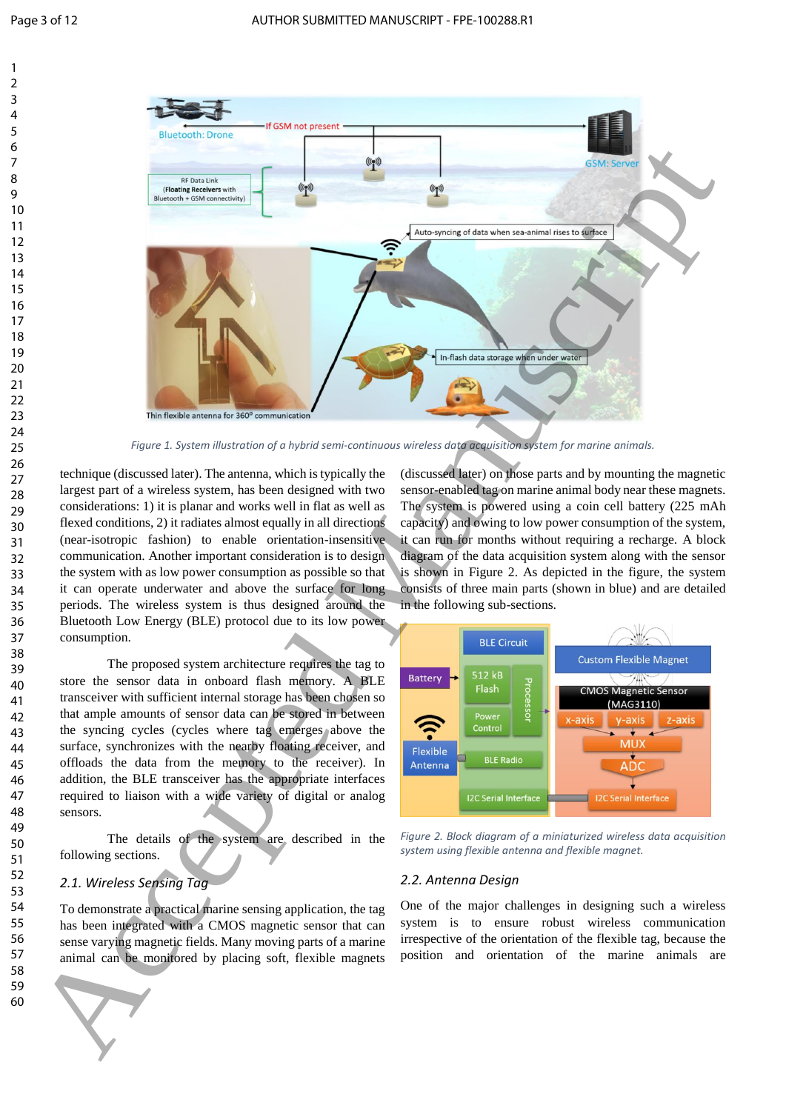

*Figure 1. System illustration of a hybrid semi-continuous wireless data acquisition system for marine animals.*

technique (discussed later). The antenna, which is typically the largest part of a wireless system, has been designed with two considerations: 1) it is planar and works well in flat as well as flexed conditions, 2) it radiates almost equally in all directions (near-isotropic fashion) to enable orientation-insensitive communication. Another important consideration is to design the system with as low power consumption as possible so that it can operate underwater and above the surface for long periods. The wireless system is thus designed around the Bluetooth Low Energy (BLE) protocol due to its low power consumption.

The proposed system architecture requires the tag to store the sensor data in onboard flash memory. A BLE transceiver with sufficient internal storage has been chosen so that ample amounts of sensor data can be stored in between the syncing cycles (cycles where tag emerges above the surface, synchronizes with the nearby floating receiver, and offloads the data from the memory to the receiver). In addition, the BLE transceiver has the appropriate interfaces required to liaison with a wide variety of digital or analog sensors.

The details of the system are described in the following sections.

#### *2.1. Wireless Sensing Tag*

To demonstrate a practical marine sensing application, the tag has been integrated with a CMOS magnetic sensor that can sense varying magnetic fields. Many moving parts of a marine animal can be monitored by placing soft, flexible magnets (discussed later) on those parts and by mounting the magnetic sensor-enabled tag on marine animal body near these magnets. The system is powered using a coin cell battery (225 mAh capacity) and owing to low power consumption of the system, it can run for months without requiring a recharge. A block diagram of the data acquisition system along with the sensor is shown in Figure 2. As depicted in the figure, the system consists of three main parts (shown in blue) and are detailed in the following sub-sections.



<span id="page-3-0"></span>*Figure 2. Block diagram of a miniaturized wireless data acquisition system using flexible antenna and flexible magnet.*

#### *2.2. Antenna Design*

One of the major challenges in designing such a wireless system is to ensure robust wireless communication irrespective of the orientation of the flexible tag, because the position and orientation of the marine animals are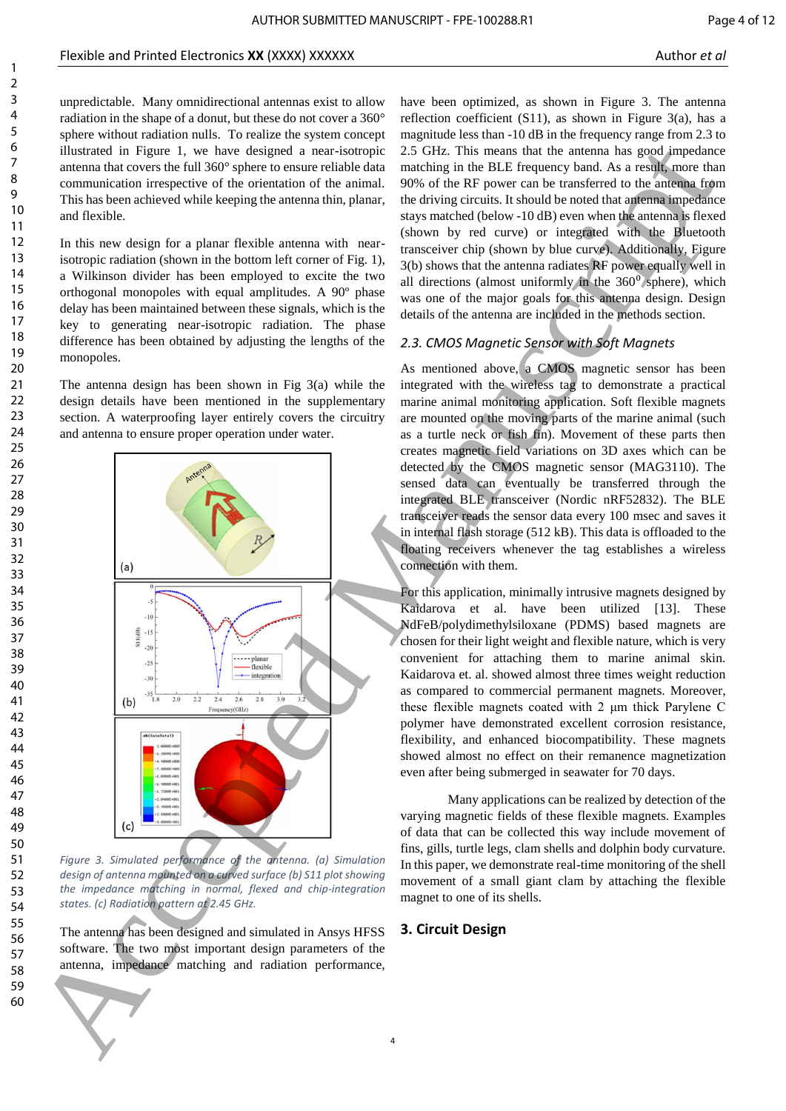unpredictable. Many omnidirectional antennas exist to allow radiation in the shape of a donut, but these do not cover a 360° sphere without radiation nulls. To realize the system concept illustrated in Figure 1, we have designed a near-isotropic antenna that covers the full 360° sphere to ensure reliable data communication irrespective of the orientation of the animal. This has been achieved while keeping the antenna thin, planar, and flexible.

In this new design for a planar flexible antenna with nearisotropic radiation (shown in the bottom left corner of Fig. 1), a Wilkinson divider has been employed to excite the two orthogonal monopoles with equal amplitudes. A 90º phase delay has been maintained between these signals, which is the key to generating near-isotropic radiation. The phase difference has been obtained by adjusting the lengths of the monopoles.

The antenna design has been shown in Fig 3(a) while the design details have been mentioned in the supplementary section. A waterproofing layer entirely covers the circuitry and antenna to ensure proper operation under water.



<span id="page-4-0"></span>*Figure 3. Simulated performance of the antenna. (a) Simulation design of antenna mounted on a curved surface (b) S11 plot showing the impedance matching in normal, flexed and chip-integration states. (c) Radiation pattern at 2.45 GHz.*

The antenna has been designed and simulated in Ansys HFSS software. The two most important design parameters of the antenna, impedance matching and radiation performance, have been optimized, as shown in [Figure 3.](#page-4-0) The antenna reflection coefficient (S11), as shown in [Figure 3\(](#page-4-0)a), has a magnitude less than -10 dB in the frequency range from 2.3 to 2.5 GHz. This means that the antenna has good impedance matching in the BLE frequency band. As a result, more than 90% of the RF power can be transferred to the antenna from the driving circuits. It should be noted that antenna impedance stays matched (below -10 dB) even when the antenna is flexed (shown by red curve) or integrated with the Bluetooth transceiver chip (shown by blue curve). Additionally, [Figure](#page-4-0)  3(b) shows that the antenna radiates RF power equally well in all directions (almost uniformly in the  $360<sup>0</sup>$  sphere), which was one of the major goals for this antenna design. Design details of the antenna are included in the methods section.

## *2.3. CMOS Magnetic Sensor with Soft Magnets*

As mentioned above, a CMOS magnetic sensor has been integrated with the wireless tag to demonstrate a practical marine animal monitoring application. Soft flexible magnets are mounted on the moving parts of the marine animal (such as a turtle neck or fish fin). Movement of these parts then creates magnetic field variations on 3D axes which can be detected by the CMOS magnetic sensor (MAG3110). The sensed data can eventually be transferred through the integrated BLE transceiver (Nordic nRF52832). The BLE transceiver reads the sensor data every 100 msec and saves it in internal flash storage (512 kB). This data is offloaded to the floating receivers whenever the tag establishes a wireless connection with them.

For this application, minimally intrusive magnets designed by Kaidarova et al. have been utilized [13]. These NdFeB/polydimethylsiloxane (PDMS) based magnets are chosen for their light weight and flexible nature, which is very convenient for attaching them to marine animal skin. Kaidarova et. al. showed almost three times weight reduction as compared to commercial permanent magnets. Moreover, these flexible magnets coated with 2 μm thick Parylene C polymer have demonstrated excellent corrosion resistance, flexibility, and enhanced biocompatibility. These magnets showed almost no effect on their remanence magnetization even after being submerged in seawater for 70 days.

Many applications can be realized by detection of the varying magnetic fields of these flexible magnets. Examples of data that can be collected this way include movement of fins, gills, turtle legs, clam shells and dolphin body curvature. In this paper, we demonstrate real-time monitoring of the shell movement of a small giant clam by attaching the flexible magnet to one of its shells.

#### **3. Circuit Design**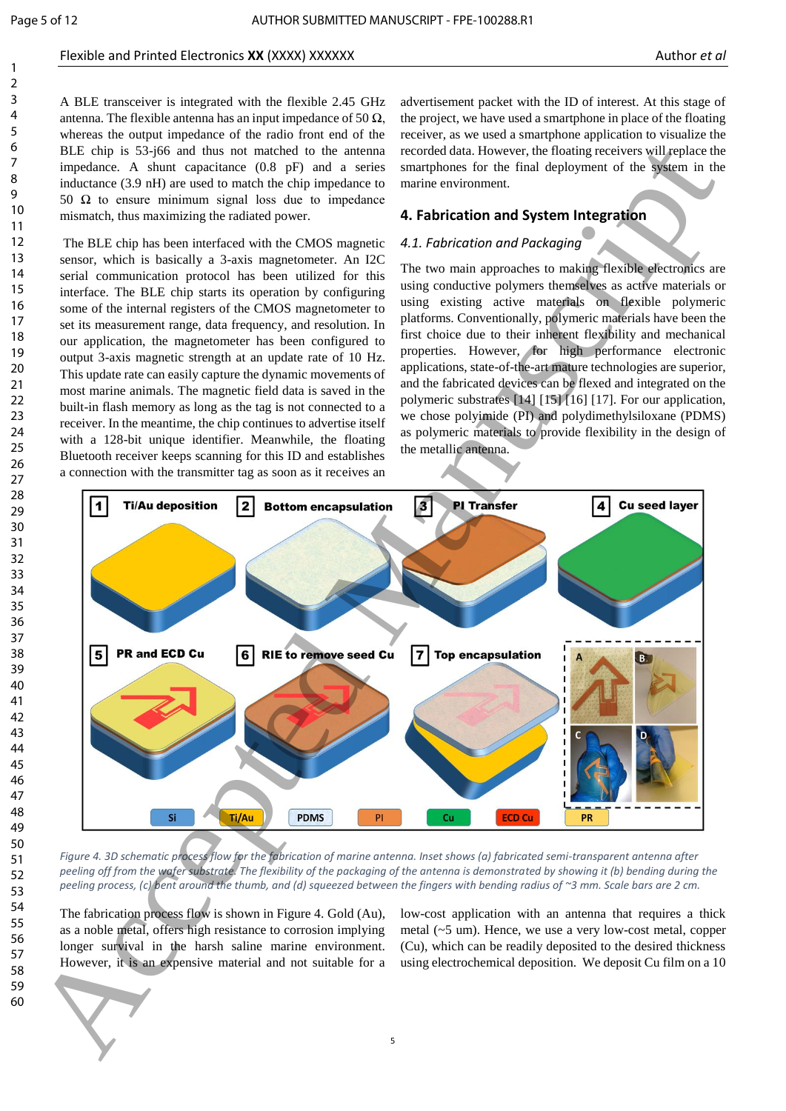#### Flexible and Printed Electronics **XX** (XXXX) XXXXXX Author **et al.** Author *et al.* Author *et al.* Author *et al.*

A BLE transceiver is integrated with the flexible 2.45 GHz antenna. The flexible antenna has an input impedance of 50  $\Omega$ , whereas the output impedance of the radio front end of the BLE chip is 53-j66 and thus not matched to the antenna impedance. A shunt capacitance (0.8 pF) and a series inductance (3.9 nH) are used to match the chip impedance to 50  $\Omega$  to ensure minimum signal loss due to impedance mismatch, thus maximizing the radiated power.

The BLE chip has been interfaced with the CMOS magnetic sensor, which is basically a 3-axis magnetometer. An I2C serial communication protocol has been utilized for this interface. The BLE chip starts its operation by configuring some of the internal registers of the CMOS magnetometer to set its measurement range, data frequency, and resolution. In our application, the magnetometer has been configured to output 3-axis magnetic strength at an update rate of 10 Hz. This update rate can easily capture the dynamic movements of most marine animals. The magnetic field data is saved in the built-in flash memory as long as the tag is not connected to a receiver. In the meantime, the chip continues to advertise itself with a 128-bit unique identifier. Meanwhile, the floating Bluetooth receiver keeps scanning for this ID and establishes a connection with the transmitter tag as soon as it receives an

advertisement packet with the ID of interest. At this stage of the project, we have used a smartphone in place of the floating receiver, as we used a smartphone application to visualize the recorded data. However, the floating receivers will replace the smartphones for the final deployment of the system in the marine environment.

# **4. Fabrication and System Integration**

# *4.1. Fabrication and Packaging*

The two main approaches to making flexible electronics are using conductive polymers themselves as active materials or using existing active materials on flexible polymeric platforms. Conventionally, polymeric materials have been the first choice due to their inherent flexibility and mechanical properties. However, for high performance electronic applications, state-of-the-art mature technologies are superior, and the fabricated devices can be flexed and integrated on the polymeric substrates [14] [15] [16] [17]. For our application, we chose polyimide (PI) and polydimethylsiloxane (PDMS) as polymeric materials to provide flexibility in the design of the metallic antenna.



*Figure 4. 3D schematic process flow for the fabrication of marine antenna. Inset shows (a) fabricated semi-transparent antenna after peeling off from the wafer substrate. The flexibility of the packaging of the antenna is demonstrated by showing it (b) bending during the peeling process, (c) bent around the thumb, and (d) squeezed between the fingers with bending radius of ~3 mm. Scale bars are 2 cm.*

The fabrication process flow is shown in Figure 4. Gold (Au), as a noble metal, offers high resistance to corrosion implying longer survival in the harsh saline marine environment. However, it is an expensive material and not suitable for a

low-cost application with an antenna that requires a thick metal (~5 um). Hence, we use a very low-cost metal, copper (Cu), which can be readily deposited to the desired thickness using electrochemical deposition. We deposit Cu film on a 10



5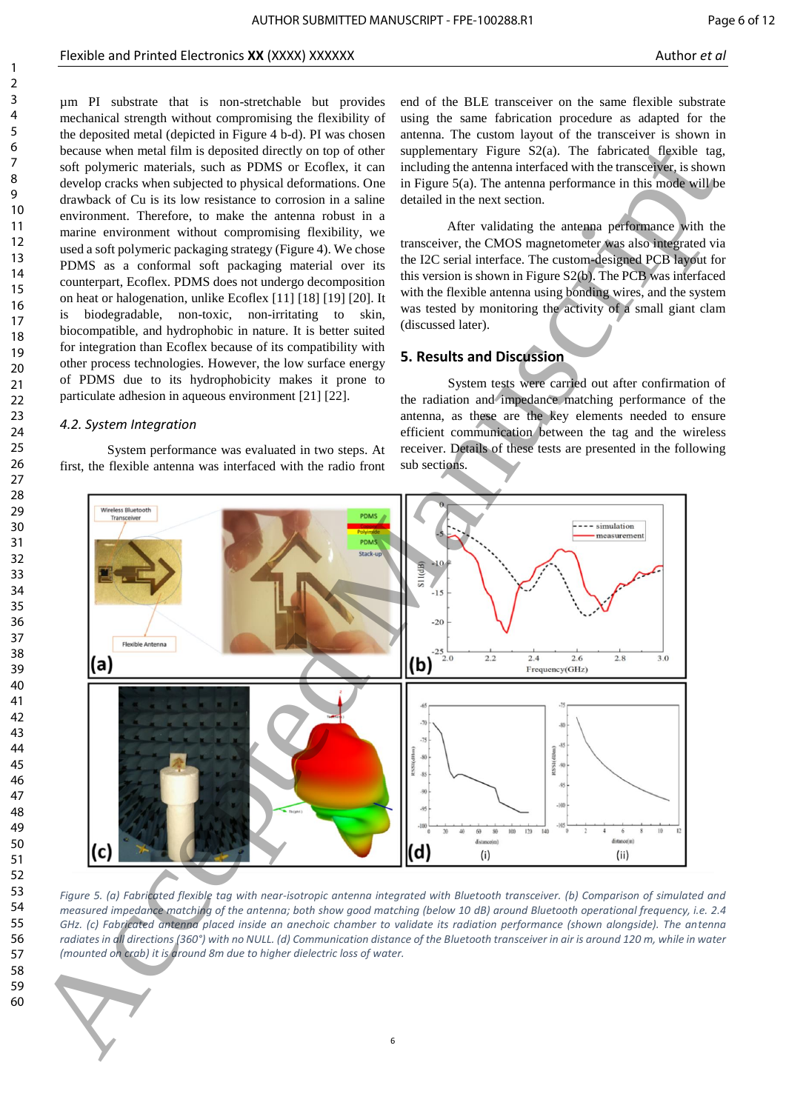µm PI substrate that is non-stretchable but provides mechanical strength without compromising the flexibility of the deposited metal (depicted in Figure 4 b-d). PI was chosen because when metal film is deposited directly on top of other soft polymeric materials, such as PDMS or Ecoflex, it can develop cracks when subjected to physical deformations. One drawback of Cu is its low resistance to corrosion in a saline environment. Therefore, to make the antenna robust in a marine environment without compromising flexibility, we used a soft polymeric packaging strategy (Figure 4). We chose PDMS as a conformal soft packaging material over its counterpart, Ecoflex. PDMS does not undergo decomposition on heat or halogenation, unlike Ecoflex [11] [18] [19] [20]. It is biodegradable, non-toxic, non-irritating to skin, biocompatible, and hydrophobic in nature. It is better suited for integration than Ecoflex because of its compatibility with other process technologies. However, the low surface energy of PDMS due to its hydrophobicity makes it prone to particulate adhesion in aqueous environment [21] [22].

# *4.2. System Integration*

System performance was evaluated in two steps. At first, the flexible antenna was interfaced with the radio front

end of the BLE transceiver on the same flexible substrate using the same fabrication procedure as adapted for the antenna. The custom layout of the transceiver is shown in supplementary Figure S2(a). The fabricated flexible tag, including the antenna interfaced with the transceiver, is shown in Figure 5(a). The antenna performance in this mode will be detailed in the next section.

After validating the antenna performance with the transceiver, the CMOS magnetometer was also integrated via the I2C serial interface. The custom-designed PCB layout for this version is shown in Figure S2(b). The PCB was interfaced with the flexible antenna using bonding wires, and the system was tested by monitoring the activity of a small giant clam (discussed later).

# **5. Results and Discussion**

System tests were carried out after confirmation of the radiation and impedance matching performance of the antenna, as these are the key elements needed to ensure efficient communication between the tag and the wireless receiver. Details of these tests are presented in the following sub sections.



*Figure 5. (a) Fabricated flexible tag with near-isotropic antenna integrated with Bluetooth transceiver. (b) Comparison of simulated and measured impedance matching of the antenna; both show good matching (below 10 dB) around Bluetooth operational frequency, i.e. 2.4 GHz. (c) Fabricated antenna placed inside an anechoic chamber to validate its radiation performance (shown alongside). The antenna radiates in all directions (360°) with no NULL. (d) Communication distance of the Bluetooth transceiver in air is around 120 m, while in water (mounted on crab) it is around 8m due to higher dielectric loss of water.*

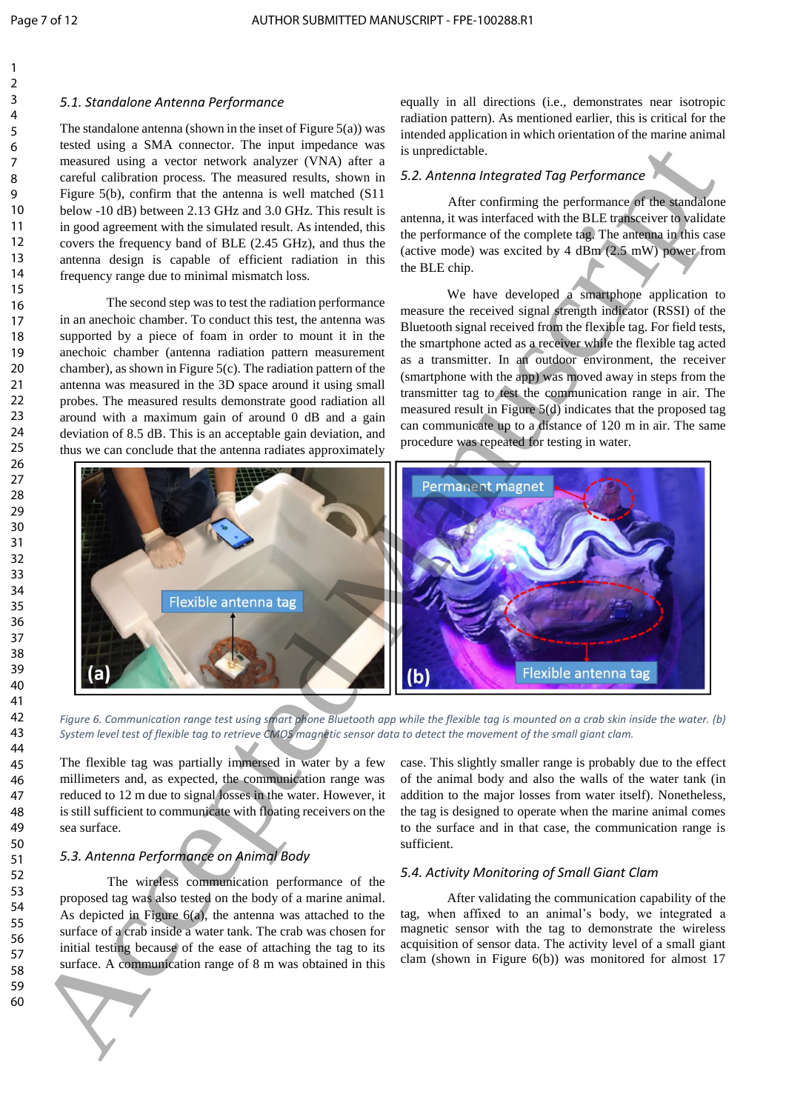#### *5.1. Standalone Antenna Performance*

The standalone antenna (shown in the inset of Figure  $5(a)$ ) was tested using a SMA connector. The input impedance was measured using a vector network analyzer (VNA) after a careful calibration process. The measured results, shown in Figure 5(b), confirm that the antenna is well matched (S11 below -10 dB) between 2.13 GHz and 3.0 GHz. This result is in good agreement with the simulated result. As intended, this covers the frequency band of BLE (2.45 GHz), and thus the antenna design is capable of efficient radiation in this frequency range due to minimal mismatch loss.

The second step was to test the radiation performance in an anechoic chamber. To conduct this test, the antenna was supported by a piece of foam in order to mount it in the anechoic chamber (antenna radiation pattern measurement chamber), as shown in Figure  $5(c)$ . The radiation pattern of the antenna was measured in the 3D space around it using small probes. The measured results demonstrate good radiation all around with a maximum gain of around 0 dB and a gain deviation of 8.5 dB. This is an acceptable gain deviation, and thus we can conclude that the antenna radiates approximately

equally in all directions (i.e., demonstrates near isotropic radiation pattern). As mentioned earlier, this is critical for the intended application in which orientation of the marine animal is unpredictable.

### *5.2. Antenna Integrated Tag Performance*

After confirming the performance of the standalone antenna, it was interfaced with the BLE transceiver to validate the performance of the complete tag. The antenna in this case (active mode) was excited by 4 dBm (2.5 mW) power from the BLE chip.

We have developed a smartphone application to measure the received signal strength indicator (RSSI) of the Bluetooth signal received from the flexible tag. For field tests, the smartphone acted as a receiver while the flexible tag acted as a transmitter. In an outdoor environment, the receiver (smartphone with the app) was moved away in steps from the transmitter tag to test the communication range in air. The measured result in Figure 5(d) indicates that the proposed tag can communicate up to a distance of 120 m in air. The same procedure was repeated for testing in water.



*Figure 6. Communication range test using smart phone Bluetooth app while the flexible tag is mounted on a crab skin inside the water. (b) System level test of flexible tag to retrieve CMOS magnetic sensor data to detect the movement of the small giant clam.*

The flexible tag was partially immersed in water by a few millimeters and, as expected, the communication range was reduced to 12 m due to signal losses in the water. However, it is still sufficient to communicate with floating receivers on the sea surface.

# *5.3. Antenna Performance on Animal Body*

The wireless communication performance of the proposed tag was also tested on the body of a marine animal. As depicted in Figure 6(a), the antenna was attached to the surface of a crab inside a water tank. The crab was chosen for initial testing because of the ease of attaching the tag to its surface. A communication range of 8 m was obtained in this case. This slightly smaller range is probably due to the effect of the animal body and also the walls of the water tank (in addition to the major losses from water itself). Nonetheless, the tag is designed to operate when the marine animal comes to the surface and in that case, the communication range is sufficient.

#### *5.4. Activity Monitoring of Small Giant Clam*

After validating the communication capability of the tag, when affixed to an animal's body, we integrated a magnetic sensor with the tag to demonstrate the wireless acquisition of sensor data. The activity level of a small giant clam (shown in Figure 6(b)) was monitored for almost 17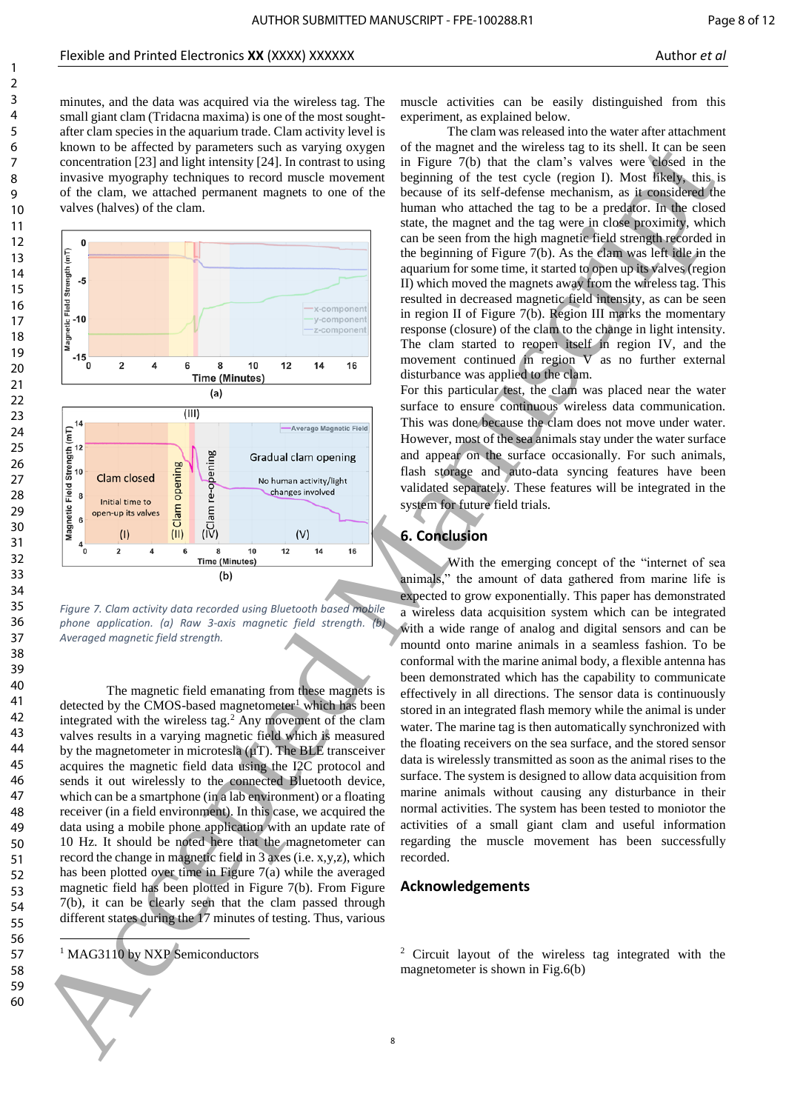





The magnetic field emanating from these magnets is detected by the CMOS-based magnetometer<sup>1</sup> which has been integrated with the wireless tag. $^{2}$  Any movement of the clam valves results in a varying magnetic field which is measured by the magnetometer in microtesla  $(\mu T)$ . The BLE transceiver acquires the magnetic field data using the I2C protocol and sends it out wirelessly to the connected Bluetooth device, which can be a smartphone (in a lab environment) or a floating receiver (in a field environment). In this case, we acquired the data using a mobile phone application with an update rate of 10 Hz. It should be noted here that the magnetometer can record the change in magnetic field in 3 axes (i.e. x,y,z), which has been plotted over time in Figure  $7(a)$  while the averaged magnetic field has been plotted in Figure 7(b). From Figure 7(b), it can be clearly seen that the clam passed through different states during the 17 minutes of testing. Thus, various

<sup>1</sup> MAG3110 by NXP Semiconductors

1

muscle activities can be easily distinguished from this experiment, as explained below.

The clam was released into the water after attachment of the magnet and the wireless tag to its shell. It can be seen in Figure 7(b) that the clam's valves were closed in the beginning of the test cycle (region I). Most likely, this is because of its self-defense mechanism, as it considered the human who attached the tag to be a predator. In the closed state, the magnet and the tag were in close proximity, which can be seen from the high magnetic field strength recorded in the beginning of Figure 7(b). As the clam was left idle in the aquarium for some time, it started to open up its valves (region II) which moved the magnets away from the wireless tag. This resulted in decreased magnetic field intensity, as can be seen in region II of Figure 7(b). Region III marks the momentary response (closure) of the clam to the change in light intensity. The clam started to reopen itself in region IV, and the movement continued in region V as no further external disturbance was applied to the clam.

For this particular test, the clam was placed near the water surface to ensure continuous wireless data communication. This was done because the clam does not move under water. However, most of the sea animals stay under the water surface and appear on the surface occasionally. For such animals, flash storage and auto-data syncing features have been validated separately. These features will be integrated in the system for future field trials.

#### **6. Conclusion**

With the emerging concept of the "internet of sea animals," the amount of data gathered from marine life is expected to grow exponentially. This paper has demonstrated a wireless data acquisition system which can be integrated with a wide range of analog and digital sensors and can be mountd onto marine animals in a seamless fashion. To be conformal with the marine animal body, a flexible antenna has been demonstrated which has the capability to communicate effectively in all directions. The sensor data is continuously stored in an integrated flash memory while the animal is under water. The marine tag is then automatically synchronized with the floating receivers on the sea surface, and the stored sensor data is wirelessly transmitted as soon as the animal rises to the surface. The system is designed to allow data acquisition from marine animals without causing any disturbance in their normal activities. The system has been tested to moniotor the activities of a small giant clam and useful information regarding the muscle movement has been successfully recorded.

## **Acknowledgements**

<sup>2</sup> Circuit layout of the wireless tag integrated with the magnetometer is shown in Fig.6(b)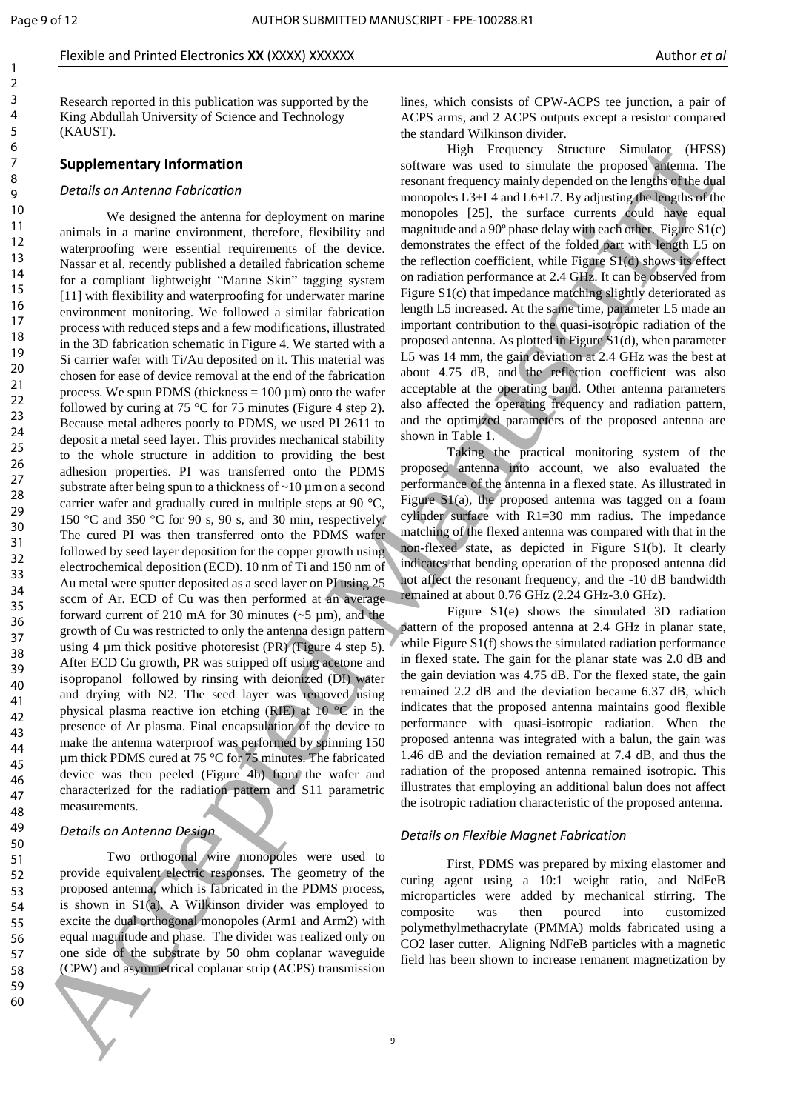#### Flexible and Printed Electronics **XX** (XXXX) XXXXXX Author **et al.** Author *et al.* Author *et al.* Author *et al.*

Research reported in this publication was supported by the King Abdullah University of Science and Technology (KAUST).

#### **Supplementary Information**

#### *Details on Antenna Fabrication*

We designed the antenna for deployment on marine animals in a marine environment, therefore, flexibility and waterproofing were essential requirements of the device. Nassar et al. recently published a detailed fabrication scheme for a compliant lightweight "Marine Skin" tagging system [11] with flexibility and waterproofing for underwater marine environment monitoring. We followed a similar fabrication process with reduced steps and a few modifications, illustrated in the 3D fabrication schematic in Figure 4. We started with a Si carrier wafer with Ti/Au deposited on it. This material was chosen for ease of device removal at the end of the fabrication process. We spun PDMS (thickness  $= 100 \,\mu m$ ) onto the wafer followed by curing at 75  $\degree$ C for 75 minutes (Figure 4 step 2). Because metal adheres poorly to PDMS, we used PI 2611 to deposit a metal seed layer. This provides mechanical stability to the whole structure in addition to providing the best adhesion properties. PI was transferred onto the PDMS substrate after being spun to a thickness of  $\sim 10 \mu$ m on a second carrier wafer and gradually cured in multiple steps at 90 °C, 150 °C and 350 °C for 90 s, 90 s, and 30 min, respectively. The cured PI was then transferred onto the PDMS wafer followed by seed layer deposition for the copper growth using electrochemical deposition (ECD). 10 nm of Ti and 150 nm of Au metal were sputter deposited as a seed layer on PI using 25 sccm of Ar. ECD of Cu was then performed at an average forward current of 210 mA for 30 minutes  $(-5 \text{ µm})$ , and the growth of Cu was restricted to only the antenna design pattern using 4  $\mu$ m thick positive photoresist (PR) (Figure 4 step 5). After ECD Cu growth, PR was stripped off using acetone and isopropanol followed by rinsing with deionized (DI) water and drying with N2. The seed layer was removed using physical plasma reactive ion etching (RIE) at 10 °C in the presence of Ar plasma. Final encapsulation of the device to make the antenna waterproof was performed by spinning 150 µm thick PDMS cured at 75 °C for 75 minutes. The fabricated device was then peeled (Figure 4b) from the wafer and characterized for the radiation pattern and S11 parametric measurements. Supplementary information<br>
Subsect of the resume of the resume of the resume of the resume of the resume of the resume of the resume of the results of the results of the results of the results of the results of the result

#### *Details on Antenna Design*

Two orthogonal wire monopoles were used to provide equivalent electric responses. The geometry of the proposed antenna, which is fabricated in the PDMS process, is shown in  $S1(a)$ . A Wilkinson divider was employed to excite the dual orthogonal monopoles (Arm1 and Arm2) with equal magnitude and phase. The divider was realized only on one side of the substrate by 50 ohm coplanar waveguide (CPW) and asymmetrical coplanar strip (ACPS) transmission lines, which consists of CPW-ACPS tee junction, a pair of ACPS arms, and 2 ACPS outputs except a resistor compared the standard Wilkinson divider.

High Frequency Structure Simulator (HFSS) software was used to simulate the proposed antenna. The resonant frequency mainly depended on the lengths of the dual monopoles L3+L4 and L6+L7. By adjusting the lengths of the monopoles [25], the surface currents could have equal magnitude and a 90 $^{\circ}$  phase delay with each other. Figure S1(c) demonstrates the effect of the folded part with length L5 on the reflection coefficient, while Figure S1(d) shows its effect on radiation performance at 2.4 GHz. It can be observed from Figure S<sub>1</sub>(c) that impedance matching slightly deteriorated as length L5 increased. At the same time, parameter L5 made an important contribution to the quasi-isotropic radiation of the proposed antenna. As plotted in Figure S1(d), when parameter L5 was 14 mm, the gain deviation at 2.4 GHz was the best at about 4.75 dB, and the reflection coefficient was also acceptable at the operating band. Other antenna parameters also affected the operating frequency and radiation pattern, and the optimized parameters of the proposed antenna are shown in Table 1.

Taking the practical monitoring system of the proposed antenna into account, we also evaluated the performance of the antenna in a flexed state. As illustrated in Figure S1(a), the proposed antenna was tagged on a foam cylinder surface with R1=30 mm radius. The impedance matching of the flexed antenna was compared with that in the non-flexed state, as depicted in Figure S1(b). It clearly indicates that bending operation of the proposed antenna did not affect the resonant frequency, and the -10 dB bandwidth remained at about 0.76 GHz (2.24 GHz-3.0 GHz).

Figure S1(e) shows the simulated 3D radiation pattern of the proposed antenna at 2.4 GHz in planar state, while Figure S<sub>1</sub>(f) shows the simulated radiation performance in flexed state. The gain for the planar state was 2.0 dB and the gain deviation was 4.75 dB. For the flexed state, the gain remained 2.2 dB and the deviation became 6.37 dB, which indicates that the proposed antenna maintains good flexible performance with quasi-isotropic radiation. When the proposed antenna was integrated with a balun, the gain was 1.46 dB and the deviation remained at 7.4 dB, and thus the radiation of the proposed antenna remained isotropic. This illustrates that employing an additional balun does not affect the isotropic radiation characteristic of the proposed antenna.

#### *Details on Flexible Magnet Fabrication*

First, PDMS was prepared by mixing elastomer and curing agent using a 10:1 weight ratio, and NdFeB microparticles were added by mechanical stirring. The composite was then poured into customized polymethylmethacrylate (PMMA) molds fabricated using a CO2 laser cutter. Aligning NdFeB particles with a magnetic field has been shown to increase remanent magnetization by

59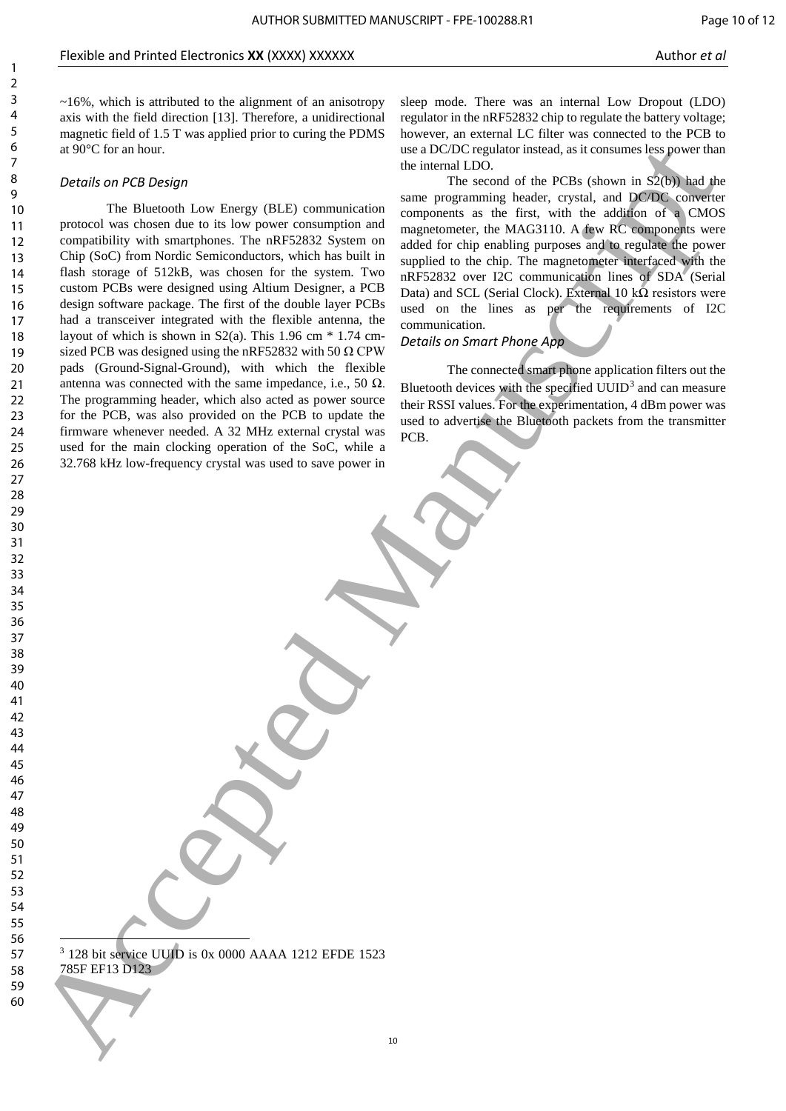~16%, which is attributed to the alignment of an anisotropy axis with the field direction [13]. Therefore, a unidirectional magnetic field of 1.5 T was applied prior to curing the PDMS at 90°C for an hour.

# *Details on PCB Design*

The Bluetooth Low Energy (BLE) communication protocol was chosen due to its low power consumption and compatibility with smartphones. The nRF52832 System on Chip (SoC) from Nordic Semiconductors, which has built in flash storage of 512kB, was chosen for the system. Two custom PCBs were designed using Altium Designer, a PCB design software package. The first of the double layer PCBs had a transceiver integrated with the flexible antenna, the layout of which is shown in  $S2(a)$ . This 1.96 cm  $*$  1.74 cmsized PCB was designed using the nRF52832 with 50  $\Omega$  CPW pads (Ground-Signal-Ground), with which the flexible antenna was connected with the same impedance, i.e., 50  $\Omega$ . The programming header, which also acted as power source for the PCB, was also provided on the PCB to update the firmware whenever needed. A 32 MHz external crystal was used for the main clocking operation of the SoC, while a 32.768 kHz low-frequency crystal was used to save power in 6 Accepted manuscript in the state of the manuscript in the state of the state of the state of the state of the state of the state of the state of the state of the state of the state of the state of the state of the state

sleep mode. There was an internal Low Dropout (LDO) regulator in the nRF52832 chip to regulate the battery voltage; however, an external LC filter was connected to the PCB to use a DC/DC regulator instead, as it consumes less power than the internal LDO.

The second of the PCBs (shown in  $S_2(b)$ ) had the same programming header, crystal, and DC/DC converter components as the first, with the addition of a CMOS magnetometer, the MAG3110. A few RC components were added for chip enabling purposes and to regulate the power supplied to the chip. The magnetometer interfaced with the nRF52832 over I2C communication lines of SDA (Serial Data) and SCL (Serial Clock). External 10 k $\Omega$  resistors were used on the lines as per the requirements of I2C communication.

*Details on Smart Phone App*

The connected smart phone application filters out the Bluetooth devices with the specified  $UUID<sup>3</sup>$  and can measure their RSSI values. For the experimentation, 4 dBm power was used to advertise the Bluetooth packets from the transmitter PCB.

1 <sup>3</sup> 128 bit service UUID is 0x 0000 AAAA 1212 EFDE 1523 785F EF13 D123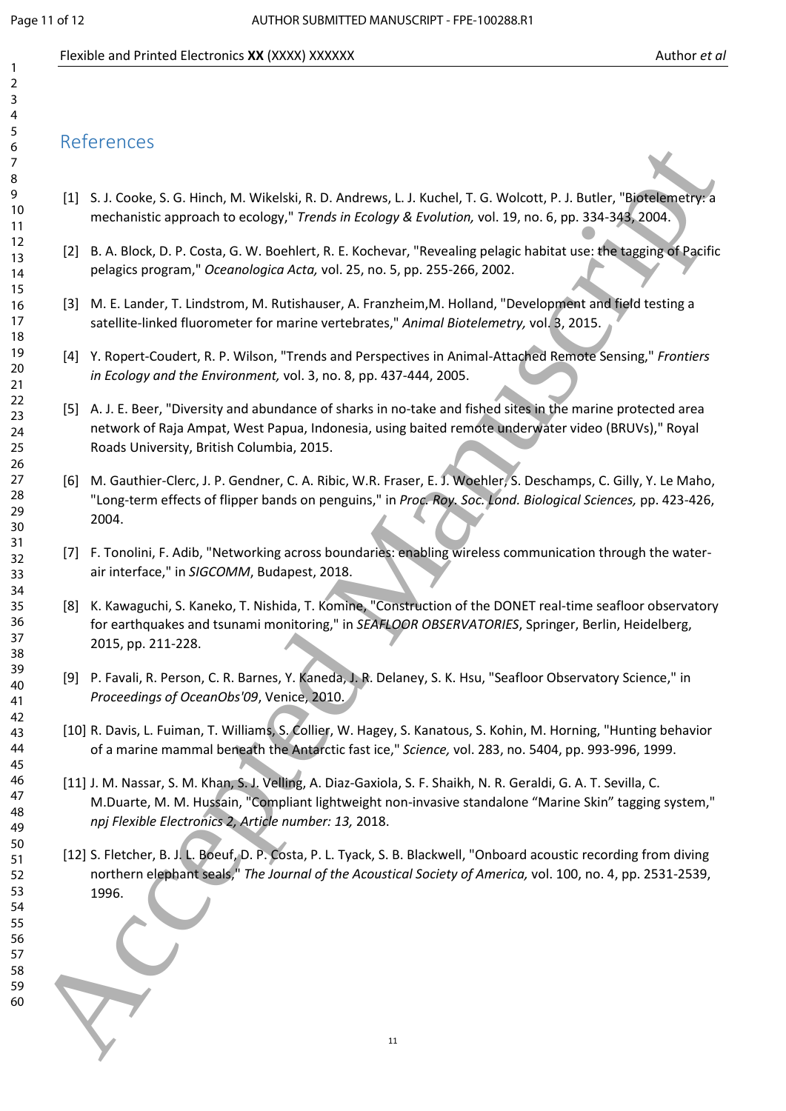# Flexible and Printed Electronics **XX** (XXXX) XXXXXX Author **et al.** Author *et al.* Author *et al.* Author *et al.*

# References

- [1] S. J. Cooke, S. G. Hinch, M. Wikelski, R. D. Andrews, L. J. Kuchel, T. G. Wolcott, P. J. Butler, "Biotelemetry: a mechanistic approach to ecology," *Trends in Ecology & Evolution,* vol. 19, no. 6, pp. 334-343, 2004.
- [2] B. A. Block, D. P. Costa, G. W. Boehlert, R. E. Kochevar, "Revealing pelagic habitat use: the tagging of Pacific pelagics program," *Oceanologica Acta,* vol. 25, no. 5, pp. 255-266, 2002.
- [3] M. E. Lander, T. Lindstrom, M. Rutishauser, A. Franzheim,M. Holland, "Development and field testing a satellite-linked fluorometer for marine vertebrates," Animal Biotelemetry, vol. <sup>8</sup>, 2015.
- [4] Y. Ropert-Coudert, R. P. Wilson, "Trends and Perspectives in Animal-Attached Remote Sensing," *Frontiers in Ecology and the Environment,* vol. 3, no. 8, pp. 437-444, 2005.
- [5] A. J. E. Beer, "Diversity and abundance of sharks in no-take and fished sites in the marine protected area network of Raja Ampat, West Papua, Indonesia, using baited remote underwater video (BRUVs)," Royal Roads University, British Columbia, 2015.
- [6] M. Gauthier-Clerc, J. P. Gendner, C. A. Ribic, W.R. Fraser, E. J. Woehler, S. Deschamps, C. Gilly, Y. Le Maho, "Long-term effects of flipper bands on penguins," in *Proc. Roy. Soc. Lond. Biological Sciences,* pp. 423-426, 2004.
- [7] F. Tonolini, F. Adib, "Networking across boundaries: enabling wireless communication through the waterair interface," in *SIGCOMM*, Budapest, 2018.
- [8] K. Kawaguchi, S. Kaneko, T. Nishida, T. Komine, "Construction of the DONET real-time seafloor observatory for earthquakes and tsunami monitoring," in *SEAFLOOR OBSERVATORIES*, Springer, Berlin, Heidelberg, 2015, pp. 211-228.
- [9] P. Favali, R. Person, C. R. Barnes, Y. Kaneda, J. R. Delaney, S. K. Hsu, "Seafloor Observatory Science," in *Proceedings of OceanObs'09*, Venice, 2010.
- [10] R. Davis, L. Fuiman, T. Williams, S. Collier, W. Hagey, S. Kanatous, S. Kohin, M. Horning, "Hunting behavior of a marine mammal beneath the Antarctic fast ice," *Science,* vol. 283, no. 5404, pp. 993-996, 1999.
- [11] J. M. Nassar, S. M. Khan, S. J. Velling, A. Diaz-Gaxiola, S. F. Shaikh, N. R. Geraldi, G. A. T. Sevilla, C. M.Duarte, M. M. Hussain, "Compliant lightweight non-invasive standalone "Marine Skin" tagging system," *npj Flexible Electronics 2, Article number: 13,* 2018. Accepted Manuscript
	- [12] S. Fletcher, B. J. L. Boeuf, D. P. Costa, P. L. Tyack, S. B. Blackwell, "Onboard acoustic recording from diving northern elephant seals," *The Journal of the Acoustical Society of America,* vol. 100, no. 4, pp. 2531-2539, 1996.